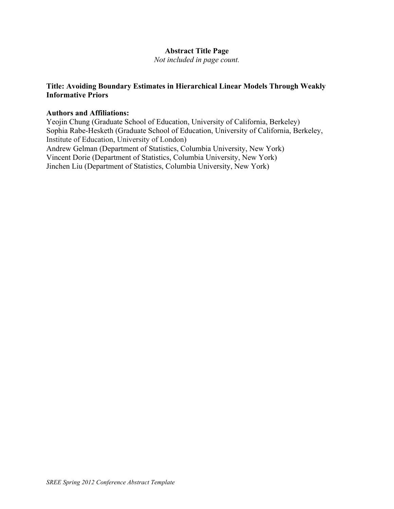# **Abstract Title Page**

*Not included in page count.*

# **Title: Avoiding Boundary Estimates in Hierarchical Linear Models Through Weakly Informative Priors**

### **Authors and Affiliations:**

Yeojin Chung (Graduate School of Education, University of California, Berkeley) Sophia Rabe-Hesketh (Graduate School of Education, University of California, Berkeley, Institute of Education, University of London) Andrew Gelman (Department of Statistics, Columbia University, New York) Vincent Dorie (Department of Statistics, Columbia University, New York) Jinchen Liu (Department of Statistics, Columbia University, New York)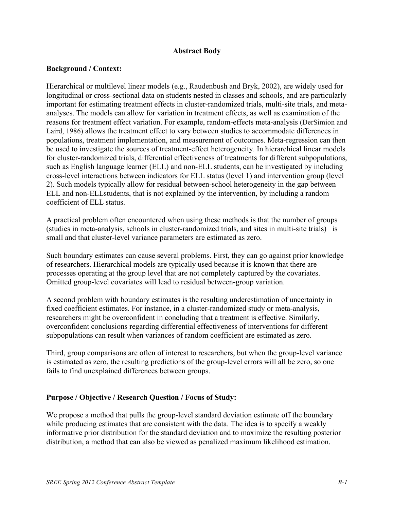### **Abstract Body**

### **Background / Context:**

Hierarchical or multilevel linear models (e.g., Raudenbush and Bryk, 2002), are widely used for longitudinal or cross-sectional data on students nested in classes and schools, and are particularly important for estimating treatment effects in cluster-randomized trials, multi-site trials, and metaanalyses. The models can allow for variation in treatment effects, as well as examination of the reasons for treatment effect variation. For example, random-effects meta-analysis (DerSimion and Laird, 1986) allows the treatment effect to vary between studies to accommodate differences in populations, treatment implementation, and measurement of outcomes. Meta-regression can then be used to investigate the sources of treatment-effect heterogeneity. In hierarchical linear models for cluster-randomized trials, differential effectiveness of treatments for different subpopulations, such as English language learner (ELL) and non-ELL students, can be investigated by including cross-level interactions between indicators for ELL status (level 1) and intervention group (level 2). Such models typically allow for residual between-school heterogeneity in the gap between ELL and non-ELLstudents, that is not explained by the intervention, by including a random coefficient of ELL status.

A practical problem often encountered when using these methods is that the number of groups (studies in meta-analysis, schools in cluster-randomized trials, and sites in multi-site trials) is small and that cluster-level variance parameters are estimated as zero.

Such boundary estimates can cause several problems. First, they can go against prior knowledge of researchers. Hierarchical models are typically used because it is known that there are processes operating at the group level that are not completely captured by the covariates. Omitted group-level covariates will lead to residual between-group variation.

A second problem with boundary estimates is the resulting underestimation of uncertainty in fixed coefficient estimates. For instance, in a cluster-randomized study or meta-analysis, researchers might be overconfident in concluding that a treatment is effective. Similarly, overconfident conclusions regarding differential effectiveness of interventions for different subpopulations can result when variances of random coefficient are estimated as zero.

Third, group comparisons are often of interest to researchers, but when the group-level variance is estimated as zero, the resulting predictions of the group-level errors will all be zero, so one fails to find unexplained differences between groups.

### **Purpose / Objective / Research Question / Focus of Study:**

We propose a method that pulls the group-level standard deviation estimate off the boundary while producing estimates that are consistent with the data. The idea is to specify a weakly informative prior distribution for the standard deviation and to maximize the resulting posterior distribution, a method that can also be viewed as penalized maximum likelihood estimation.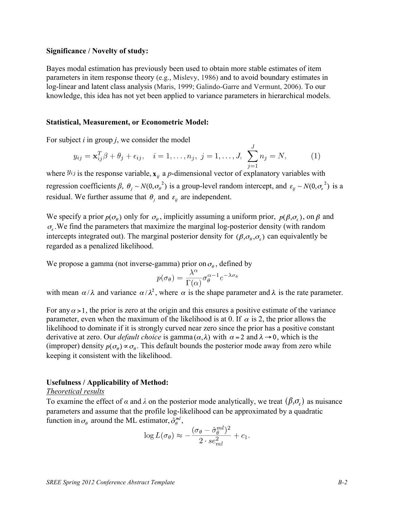#### **Significance / Novelty of study:**

Bayes modal estimation has previously been used to obtain more stable estimates of item parameters in item response theory (e.g., Mislevy, 1986) and to avoid boundary estimates in log-linear and latent class analysis (Maris, 1999; Galindo-Garre and Vermunt, 2006). To our knowledge, this idea has not yet been applied to variance parameters in hierarchical models.

#### **Statistical, Measurement, or Econometric Model:**

For subject *i* in group *j*, we consider the model

$$
y_{ij} = \mathbf{x}_{ij}^T \beta + \theta_j + \epsilon_{ij}, \quad i = 1, ..., n_j, \ j = 1, ..., J, \ \sum_{j=1}^J n_j = N,
$$
 (1)

where  $y_{ij}$  is the response variable,  $x_{ij}$  a *p*-dimensional vector of explanatory variables with regression coefficients  $\beta$ ,  $\theta_j \sim N(0, \sigma_\theta^2)$  is a group-level random intercept, and  $\varepsilon_{ij} \sim N(0, \sigma_\epsilon^2)$  is a residual. We further assume that  $\theta_i$  and  $\varepsilon_{ii}$  are independent.

We specify a prior  $p(\sigma_{\theta})$  only for  $\sigma_{\theta}$ , implicitly assuming a uniform prior,  $p(\beta,\sigma_{\theta})$ , on  $\beta$  and  $\sigma_{\rm c}$ . We find the parameters that maximize the marginal log-posterior density (with random intercepts integrated out). The marginal posterior density for  $(\beta, \sigma_{\theta}, \sigma_{\epsilon})$  can equivalently be regarded as a penalized likelihood.

We propose a gamma (not inverse-gamma) prior on  $\sigma_{\theta}$ , defined by

$$
p(\sigma_{\theta}) = \frac{\lambda^{\alpha}}{\Gamma(\alpha)} \sigma_{\theta}^{\alpha - 1} e^{-\lambda \sigma}
$$

with mean  $\alpha/\lambda$  and variance  $\alpha/\lambda^2$ , where  $\alpha$  is the shape parameter and  $\lambda$  is the rate parameter.

For any  $\alpha > 1$ , the prior is zero at the origin and this ensures a positive estimate of the variance parameter, even when the maximum of the likelihood is at 0. If  $\alpha$  is 2, the prior allows the likelihood to dominate if it is strongly curved near zero since the prior has a positive constant derivative at zero. Our *default choice* is gamma  $(\alpha, \lambda)$  with  $\alpha = 2$  and  $\lambda \rightarrow 0$ , which is the (improper) density  $p(\sigma_{\theta}) \propto \sigma_{\theta}$ . This default bounds the posterior mode away from zero while keeping it consistent with the likelihood.

#### **Usefulness / Applicability of Method:**

#### *Theoretical results*

To examine the effect of  $\alpha$  and  $\lambda$  on the posterior mode analytically, we treat  $(\beta, \sigma_{\gamma})$  as nuisance parameters and assume that the profile log-likelihood can be approximated by a quadratic function in  $\sigma_{\theta}$  around the ML estimator,  $\hat{\sigma}_{\theta}^{ml}$ ,

$$
\log L(\sigma_{\theta}) \approx -\frac{(\sigma_{\theta} - \hat{\sigma}_{\theta}^{ml})^2}{2 \cdot se_{ml}^2} + c_1.
$$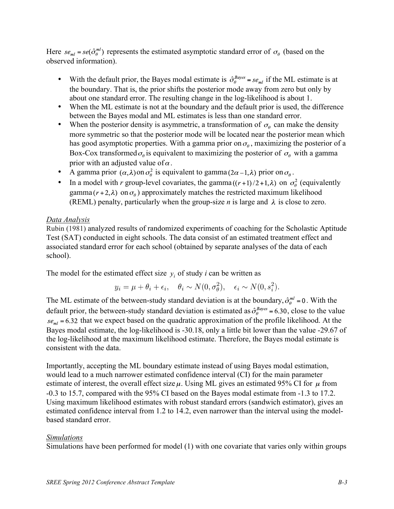Here  $se_{ml} = se(\hat{\sigma}_{\theta}^{ml})$  represents the estimated asymptotic standard error of  $\sigma_{\theta}$  (based on the observed information).

- With the default prior, the Bayes modal estimate is  $\hat{\sigma}_{\theta}^{Bayes} = s e_{ml}$  if the ML estimate is at the boundary. That is, the prior shifts the posterior mode away from zero but only by about one standard error. The resulting change in the log-likelihood is about 1.
- When the ML estimate is not at the boundary and the default prior is used, the difference between the Bayes modal and ML estimates is less than one standard error.
- When the posterior density is asymmetric, a transformation of  $\sigma_{\theta}$  can make the density more symmetric so that the posterior mode will be located near the posterior mean which has good asymptotic properties. With a gamma prior on  $\sigma_{\theta}$ , maximizing the posterior of a Box-Cox transformed  $\sigma_{\theta}$  is equivalent to maximizing the posterior of  $\sigma_{\theta}$  with a gamma prior with an adjusted value of  $\alpha$ .
- A gamma prior  $(\alpha, \lambda)$  on  $\sigma_{\theta}^2$  is equivalent to gamma  $(2\alpha 1, \lambda)$  prior on  $\sigma_{\theta}$ .
- In a model with *r* group-level covariates, the gamma  $((r+1)/2+1,\lambda)$  on  $\sigma_{\theta}^{2}$  (equivalently gamma  $(r+2,\lambda)$  on  $\sigma_a$ ) approximately matches the restricted maximum likelihood (REML) penalty, particularly when the group-size *n* is large and  $\lambda$  is close to zero.

# *Data Analysis*

Rubin (1981) analyzed results of randomized experiments of coaching for the Scholastic Aptitude Test (SAT) conducted in eight schools. The data consist of an estimated treatment effect and associated standard error for each school (obtained by separate analyses of the data of each school).

The model for the estimated effect size  $y_i$  of study *i* can be written as

$$
y_i = \mu + \theta_i + \epsilon_i, \quad \theta_i \sim N(0, \sigma_\theta^2), \quad \epsilon_i \sim N(0, s_i^2).
$$

The ML estimate of the between-study standard deviation is at the boundary,  $\hat{\sigma}_{\theta}^{ml} = 0$ . With the default prior, the between-study standard deviation is estimated as  $\hat{\sigma}_{\theta}^{Bayes}$  = 6.30, close to the value  $se<sub>ml</sub> = 6.32$  that we expect based on the quadratic approximation of the profile likelihood. At the Bayes modal estimate, the log-likelihood is -30.18, only a little bit lower than the value -29.67 of the log-likelihood at the maximum likelihood estimate. Therefore, the Bayes modal estimate is consistent with the data.

Importantly, accepting the ML boundary estimate instead of using Bayes modal estimation, would lead to a much narrower estimated confidence interval (CI) for the main parameter estimate of interest, the overall effect size  $\mu$ . Using ML gives an estimated 95% CI for  $\mu$  from -0.3 to 15.7, compared with the 95% CI based on the Bayes modal estimate from -1.3 to 17.2. Using maximum likelihood estimates with robust standard errors (sandwich estimator), gives an estimated confidence interval from 1.2 to 14.2, even narrower than the interval using the modelbased standard error.

# *Simulations*

Simulations have been performed for model (1) with one covariate that varies only within groups